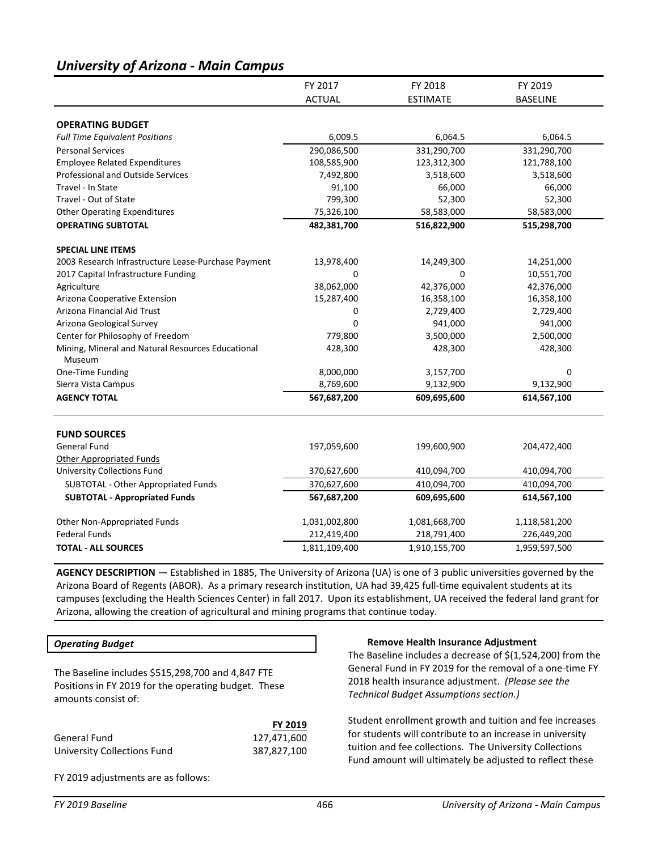# *University of Arizona - Main Campus*

|                                                             | FY 2017       | FY 2018         | FY 2019         |
|-------------------------------------------------------------|---------------|-----------------|-----------------|
|                                                             | <b>ACTUAL</b> | <b>ESTIMATE</b> | <b>BASELINE</b> |
|                                                             |               |                 |                 |
| <b>OPERATING BUDGET</b>                                     |               |                 |                 |
| <b>Full Time Equivalent Positions</b>                       | 6,009.5       | 6,064.5         | 6,064.5         |
| <b>Personal Services</b>                                    | 290,086,500   | 331,290,700     | 331,290,700     |
| <b>Employee Related Expenditures</b>                        | 108,585,900   | 123,312,300     | 121,788,100     |
| <b>Professional and Outside Services</b>                    | 7,492,800     | 3,518,600       | 3,518,600       |
| Travel - In State                                           | 91,100        | 66,000          | 66,000          |
| Travel - Out of State                                       | 799,300       | 52,300          | 52,300          |
| <b>Other Operating Expenditures</b>                         | 75,326,100    | 58,583,000      | 58,583,000      |
| <b>OPERATING SUBTOTAL</b>                                   | 482,381,700   | 516,822,900     | 515,298,700     |
| <b>SPECIAL LINE ITEMS</b>                                   |               |                 |                 |
| 2003 Research Infrastructure Lease-Purchase Payment         | 13,978,400    | 14,249,300      | 14,251,000      |
| 2017 Capital Infrastructure Funding                         | $\Omega$      | $\Omega$        | 10,551,700      |
| Agriculture                                                 | 38,062,000    | 42,376,000      | 42,376,000      |
| Arizona Cooperative Extension                               | 15,287,400    | 16,358,100      | 16,358,100      |
| Arizona Financial Aid Trust                                 | 0             | 2,729,400       | 2,729,400       |
| Arizona Geological Survey                                   | 0             | 941,000         | 941,000         |
| Center for Philosophy of Freedom                            | 779,800       | 3,500,000       | 2,500,000       |
| Mining, Mineral and Natural Resources Educational<br>Museum | 428,300       | 428,300         | 428,300         |
| One-Time Funding                                            | 8,000,000     | 3,157,700       | 0               |
| Sierra Vista Campus                                         | 8,769,600     | 9,132,900       | 9,132,900       |
| <b>AGENCY TOTAL</b>                                         | 567,687,200   | 609,695,600     | 614,567,100     |
| <b>FUND SOURCES</b>                                         |               |                 |                 |
| <b>General Fund</b>                                         | 197,059,600   | 199,600,900     | 204,472,400     |
| <b>Other Appropriated Funds</b>                             |               |                 |                 |
| University Collections Fund                                 | 370,627,600   | 410,094,700     | 410,094,700     |
| SUBTOTAL - Other Appropriated Funds                         | 370,627,600   | 410,094,700     | 410,094,700     |
| <b>SUBTOTAL - Appropriated Funds</b>                        | 567,687,200   | 609,695,600     | 614,567,100     |
|                                                             |               |                 |                 |
| Other Non-Appropriated Funds                                | 1,031,002,800 | 1,081,668,700   | 1,118,581,200   |
| <b>Federal Funds</b>                                        | 212,419,400   | 218,791,400     | 226,449,200     |
| <b>TOTAL - ALL SOURCES</b>                                  | 1,811,109,400 | 1,910,155,700   | 1,959,597,500   |

**AGENCY DESCRIPTION** — Established in 1885, The University of Arizona (UA) is one of 3 public universities governed by the Arizona Board of Regents (ABOR). As a primary research institution, UA had 39,425 full-time equivalent students at its campuses (excluding the Health Sciences Center) in fall 2017. Upon its establishment, UA received the federal land grant for Arizona, allowing the creation of agricultural and mining programs that continue today.

## *Operating Budget*

The Baseline includes \$515,298,700 and 4,847 FTE Positions in FY 2019 for the operating budget. These amounts consist of:

|                             | <b>FY 2019</b> |
|-----------------------------|----------------|
| General Fund                | 127,471,600    |
| University Collections Fund | 387,827,100    |

#### **Remove Health Insurance Adjustment**

The Baseline includes a decrease of \$(1,524,200) from the General Fund in FY 2019 for the removal of a one-time FY 2018 health insurance adjustment. *(Please see the Technical Budget Assumptions section.)*

Student enrollment growth and tuition and fee increases for students will contribute to an increase in university tuition and fee collections. The University Collections Fund amount will ultimately be adjusted to reflect these

FY 2019 adjustments are as follows: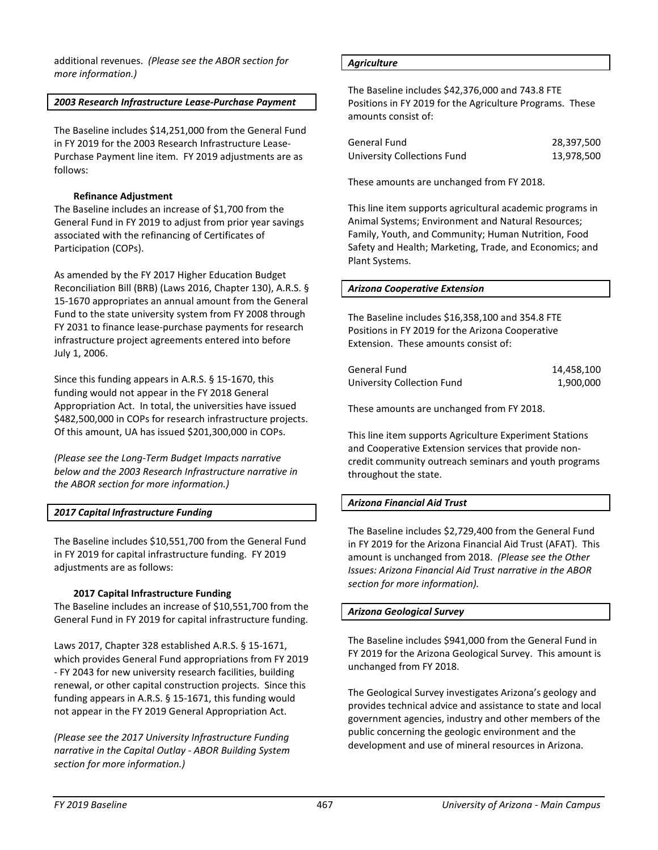additional revenues. *(Please see the ABOR section for more information.)*

## *2003 Research Infrastructure Lease-Purchase Payment*

The Baseline includes \$14,251,000 from the General Fund in FY 2019 for the 2003 Research Infrastructure Lease-Purchase Payment line item. FY 2019 adjustments are as follows:

## **Refinance Adjustment**

The Baseline includes an increase of \$1,700 from the General Fund in FY 2019 to adjust from prior year savings associated with the refinancing of Certificates of Participation (COPs).

As amended by the FY 2017 Higher Education Budget Reconciliation Bill (BRB) (Laws 2016, Chapter 130), A.R.S. § 15-1670 appropriates an annual amount from the General Fund to the state university system from FY 2008 through FY 2031 to finance lease-purchase payments for research infrastructure project agreements entered into before July 1, 2006.

Since this funding appears in A.R.S. § 15-1670, this funding would not appear in the FY 2018 General Appropriation Act. In total, the universities have issued \$482,500,000 in COPs for research infrastructure projects. Of this amount, UA has issued \$201,300,000 in COPs.

*(Please see the Long-Term Budget Impacts narrative below and the 2003 Research Infrastructure narrative in the ABOR section for more information.)*

# *2017 Capital Infrastructure Funding*

The Baseline includes \$10,551,700 from the General Fund in FY 2019 for capital infrastructure funding. FY 2019 adjustments are as follows:

## **2017 Capital Infrastructure Funding**

The Baseline includes an increase of \$10,551,700 from the General Fund in FY 2019 for capital infrastructure funding.

Laws 2017, Chapter 328 established A.R.S. § 15-1671, which provides General Fund appropriations from FY 2019 - FY 2043 for new university research facilities, building renewal, or other capital construction projects. Since this funding appears in A.R.S. § 15-1671, this funding would not appear in the FY 2019 General Appropriation Act.

*(Please see the 2017 University Infrastructure Funding narrative in the Capital Outlay - ABOR Building System section for more information.)*

#### *Agriculture*

The Baseline includes \$42,376,000 and 743.8 FTE Positions in FY 2019 for the Agriculture Programs. These amounts consist of:

| General Fund                | 28,397,500 |
|-----------------------------|------------|
| University Collections Fund | 13,978,500 |

These amounts are unchanged from FY 2018.

This line item supports agricultural academic programs in Animal Systems; Environment and Natural Resources; Family, Youth, and Community; Human Nutrition, Food Safety and Health; Marketing, Trade, and Economics; and Plant Systems.

## *Arizona Cooperative Extension*

The Baseline includes \$16,358,100 and 354.8 FTE Positions in FY 2019 for the Arizona Cooperative Extension. These amounts consist of:

| General Fund               | 14.458.100 |
|----------------------------|------------|
| University Collection Fund | 1,900,000  |

These amounts are unchanged from FY 2018.

This line item supports Agriculture Experiment Stations and Cooperative Extension services that provide noncredit community outreach seminars and youth programs throughout the state.

# *Arizona Financial Aid Trust*

The Baseline includes \$2,729,400 from the General Fund in FY 2019 for the Arizona Financial Aid Trust (AFAT). This amount is unchanged from 2018. *(Please see the Other Issues: Arizona Financial Aid Trust narrative in the ABOR section for more information).* 

## *Arizona Geological Survey*

The Baseline includes \$941,000 from the General Fund in FY 2019 for the Arizona Geological Survey. This amount is unchanged from FY 2018.

The Geological Survey investigates Arizona's geology and provides technical advice and assistance to state and local government agencies, industry and other members of the public concerning the geologic environment and the development and use of mineral resources in Arizona.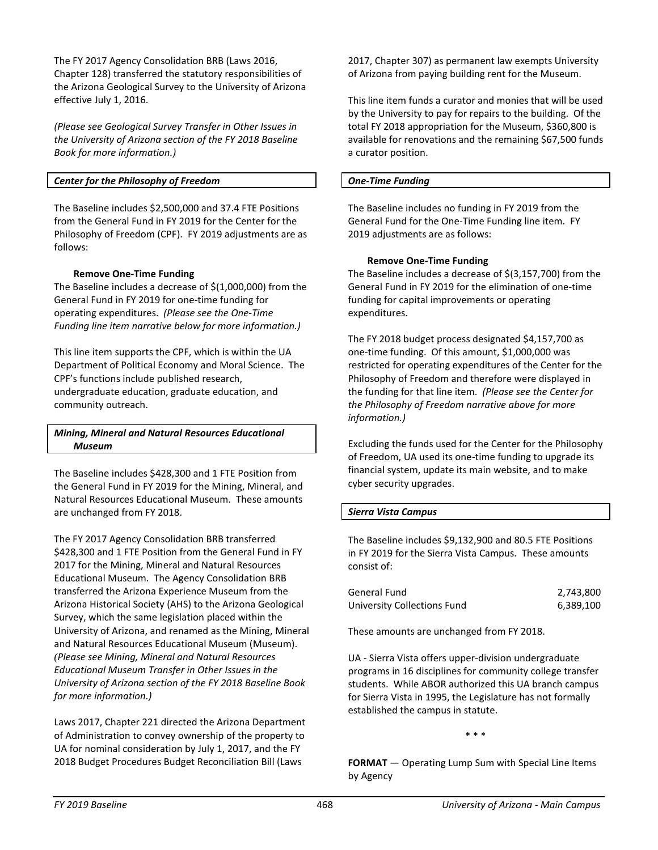The FY 2017 Agency Consolidation BRB (Laws 2016, Chapter 128) transferred the statutory responsibilities of the Arizona Geological Survey to the University of Arizona effective July 1, 2016.

*(Please see Geological Survey Transfer in Other Issues in the University of Arizona section of the FY 2018 Baseline Book for more information.)*

# *Center for the Philosophy of Freedom*

The Baseline includes \$2,500,000 and 37.4 FTE Positions from the General Fund in FY 2019 for the Center for the Philosophy of Freedom (CPF). FY 2019 adjustments are as follows:

## **Remove One-Time Funding**

The Baseline includes a decrease of \$(1,000,000) from the General Fund in FY 2019 for one-time funding for operating expenditures. *(Please see the One-Time Funding line item narrative below for more information.)* 

This line item supports the CPF, which is within the UA Department of Political Economy and Moral Science. The CPF's functions include published research, undergraduate education, graduate education, and community outreach.

## *Mining, Mineral and Natural Resources Educational Museum*

The Baseline includes \$428,300 and 1 FTE Position from the General Fund in FY 2019 for the Mining, Mineral, and Natural Resources Educational Museum. These amounts are unchanged from FY 2018.

The FY 2017 Agency Consolidation BRB transferred \$428,300 and 1 FTE Position from the General Fund in FY 2017 for the Mining, Mineral and Natural Resources Educational Museum. The Agency Consolidation BRB transferred the Arizona Experience Museum from the Arizona Historical Society (AHS) to the Arizona Geological Survey, which the same legislation placed within the University of Arizona, and renamed as the Mining, Mineral and Natural Resources Educational Museum (Museum). *(Please see Mining, Mineral and Natural Resources Educational Museum Transfer in Other Issues in the University of Arizona section of the FY 2018 Baseline Book for more information.)*

Laws 2017, Chapter 221 directed the Arizona Department of Administration to convey ownership of the property to UA for nominal consideration by July 1, 2017, and the FY 2018 Budget Procedures Budget Reconciliation Bill (Laws

2017, Chapter 307) as permanent law exempts University of Arizona from paying building rent for the Museum.

This line item funds a curator and monies that will be used by the University to pay for repairs to the building. Of the total FY 2018 appropriation for the Museum, \$360,800 is available for renovations and the remaining \$67,500 funds a curator position.

#### *One-Time Funding*

The Baseline includes no funding in FY 2019 from the General Fund for the One-Time Funding line item. FY 2019 adjustments are as follows:

#### **Remove One-Time Funding**

The Baseline includes a decrease of \$(3,157,700) from the General Fund in FY 2019 for the elimination of one-time funding for capital improvements or operating expenditures.

The FY 2018 budget process designated \$4,157,700 as one-time funding. Of this amount, \$1,000,000 was restricted for operating expenditures of the Center for the Philosophy of Freedom and therefore were displayed in the funding for that line item. *(Please see the Center for the Philosophy of Freedom narrative above for more information.)*

Excluding the funds used for the Center for the Philosophy of Freedom, UA used its one-time funding to upgrade its financial system, update its main website, and to make cyber security upgrades.

## *Sierra Vista Campus*

The Baseline includes \$9,132,900 and 80.5 FTE Positions in FY 2019 for the Sierra Vista Campus. These amounts consist of:

| General Fund                | 2,743,800 |
|-----------------------------|-----------|
| University Collections Fund | 6,389,100 |

These amounts are unchanged from FY 2018.

UA - Sierra Vista offers upper-division undergraduate programs in 16 disciplines for community college transfer students. While ABOR authorized this UA branch campus for Sierra Vista in 1995, the Legislature has not formally established the campus in statute.

\* \* \*

**FORMAT** — Operating Lump Sum with Special Line Items by Agency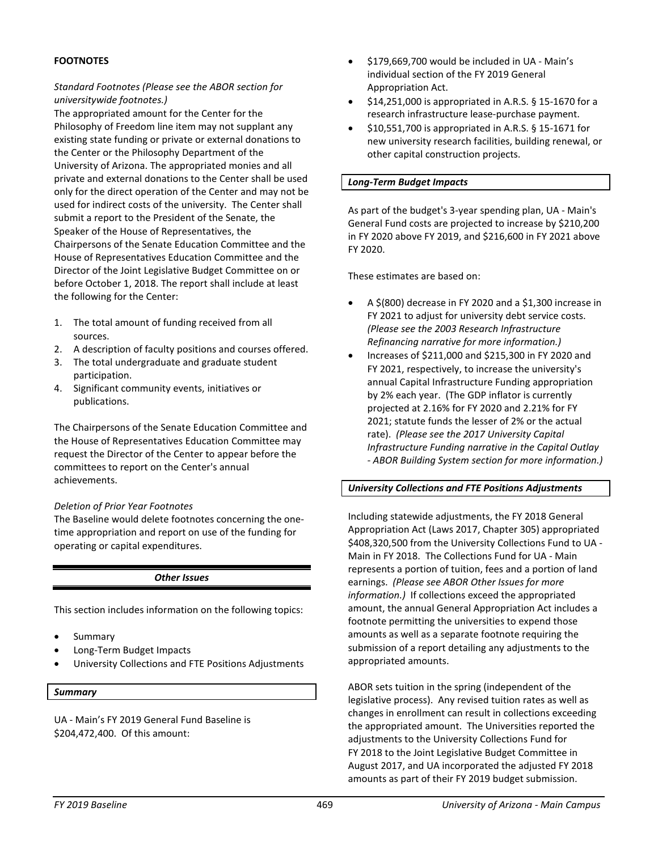## **FOOTNOTES**

# *Standard Footnotes (Please see the ABOR section for universitywide footnotes.)*

The appropriated amount for the Center for the Philosophy of Freedom line item may not supplant any existing state funding or private or external donations to the Center or the Philosophy Department of the University of Arizona. The appropriated monies and all private and external donations to the Center shall be used only for the direct operation of the Center and may not be used for indirect costs of the university. The Center shall submit a report to the President of the Senate, the Speaker of the House of Representatives, the Chairpersons of the Senate Education Committee and the House of Representatives Education Committee and the Director of the Joint Legislative Budget Committee on or before October 1, 2018. The report shall include at least the following for the Center:

- 1. The total amount of funding received from all sources.
- 2. A description of faculty positions and courses offered.
- 3. The total undergraduate and graduate student participation.
- 4. Significant community events, initiatives or publications.

The Chairpersons of the Senate Education Committee and the House of Representatives Education Committee may request the Director of the Center to appear before the committees to report on the Center's annual achievements.

## *Deletion of Prior Year Footnotes*

The Baseline would delete footnotes concerning the onetime appropriation and report on use of the funding for operating or capital expenditures.

*Other Issues*

This section includes information on the following topics:

- **Summary**
- Long-Term Budget Impacts
- University Collections and FTE Positions Adjustments

#### *Summary*

UA - Main's FY 2019 General Fund Baseline is \$204,472,400. Of this amount:

- \$179,669,700 would be included in UA Main's individual section of the FY 2019 General Appropriation Act.
- \$14,251,000 is appropriated in A.R.S. § 15-1670 for a research infrastructure lease-purchase payment.
- \$10,551,700 is appropriated in A.R.S. § 15-1671 for new university research facilities, building renewal, or other capital construction projects.

#### *Long-Term Budget Impacts*

As part of the budget's 3-year spending plan, UA - Main's General Fund costs are projected to increase by \$210,200 in FY 2020 above FY 2019, and \$216,600 in FY 2021 above FY 2020.

These estimates are based on:

- A \$(800) decrease in FY 2020 and a \$1,300 increase in FY 2021 to adjust for university debt service costs. *(Please see the 2003 Research Infrastructure Refinancing narrative for more information.)*
- Increases of \$211,000 and \$215,300 in FY 2020 and FY 2021, respectively, to increase the university's annual Capital Infrastructure Funding appropriation by 2% each year. (The GDP inflator is currently projected at 2.16% for FY 2020 and 2.21% for FY 2021; statute funds the lesser of 2% or the actual rate). *(Please see the 2017 University Capital Infrastructure Funding narrative in the Capital Outlay - ABOR Building System section for more information.)*

#### *University Collections and FTE Positions Adjustments*

Including statewide adjustments, the FY 2018 General Appropriation Act (Laws 2017, Chapter 305) appropriated \$408,320,500 from the University Collections Fund to UA - Main in FY 2018. The Collections Fund for UA - Main represents a portion of tuition, fees and a portion of land earnings. *(Please see ABOR Other Issues for more information.)* If collections exceed the appropriated amount, the annual General Appropriation Act includes a footnote permitting the universities to expend those amounts as well as a separate footnote requiring the submission of a report detailing any adjustments to the appropriated amounts.

ABOR sets tuition in the spring (independent of the legislative process). Any revised tuition rates as well as changes in enrollment can result in collections exceeding the appropriated amount. The Universities reported the adjustments to the University Collections Fund for FY 2018 to the Joint Legislative Budget Committee in August 2017, and UA incorporated the adjusted FY 2018 amounts as part of their FY 2019 budget submission.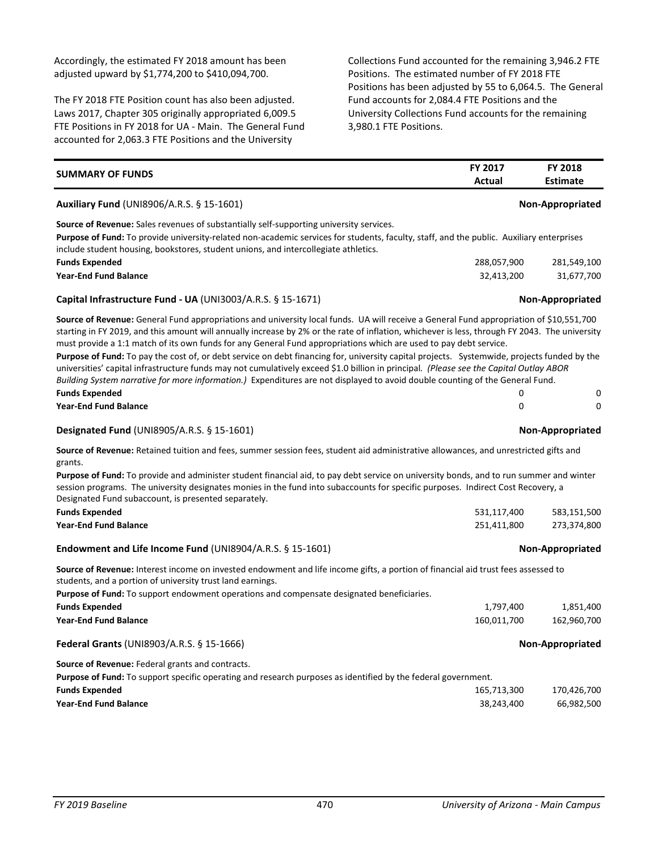Accordingly, the estimated FY 2018 amount has been adjusted upward by \$1,774,200 to \$410,094,700.

The FY 2018 FTE Position count has also been adjusted. Laws 2017, Chapter 305 originally appropriated 6,009.5 FTE Positions in FY 2018 for UA - Main. The General Fund accounted for 2,063.3 FTE Positions and the University

Collections Fund accounted for the remaining 3,946.2 FTE Positions. The estimated number of FY 2018 FTE Positions has been adjusted by 55 to 6,064.5. The General Fund accounts for 2,084.4 FTE Positions and the University Collections Fund accounts for the remaining 3,980.1 FTE Positions.

| <b>SUMMARY OF FUNDS</b>                                                                                                                                                                                                                                                                                                                                                                                                                                                                                                                                                                                                                                                                                                                                                                                                                  | FY 2017<br>Actual | <b>FY 2018</b><br><b>Estimate</b> |
|------------------------------------------------------------------------------------------------------------------------------------------------------------------------------------------------------------------------------------------------------------------------------------------------------------------------------------------------------------------------------------------------------------------------------------------------------------------------------------------------------------------------------------------------------------------------------------------------------------------------------------------------------------------------------------------------------------------------------------------------------------------------------------------------------------------------------------------|-------------------|-----------------------------------|
| Auxiliary Fund (UNI8906/A.R.S. § 15-1601)                                                                                                                                                                                                                                                                                                                                                                                                                                                                                                                                                                                                                                                                                                                                                                                                |                   | <b>Non-Appropriated</b>           |
| <b>Source of Revenue:</b> Sales revenues of substantially self-supporting university services.<br>Purpose of Fund: To provide university-related non-academic services for students, faculty, staff, and the public. Auxiliary enterprises<br>include student housing, bookstores, student unions, and intercollegiate athletics.                                                                                                                                                                                                                                                                                                                                                                                                                                                                                                        |                   |                                   |
| <b>Funds Expended</b>                                                                                                                                                                                                                                                                                                                                                                                                                                                                                                                                                                                                                                                                                                                                                                                                                    | 288,057,900       | 281,549,100                       |
| <b>Year-End Fund Balance</b>                                                                                                                                                                                                                                                                                                                                                                                                                                                                                                                                                                                                                                                                                                                                                                                                             | 32,413,200        | 31,677,700                        |
| Capital Infrastructure Fund - UA (UNI3003/A.R.S. $\S 15-1671$ )                                                                                                                                                                                                                                                                                                                                                                                                                                                                                                                                                                                                                                                                                                                                                                          |                   | <b>Non-Appropriated</b>           |
| Source of Revenue: General Fund appropriations and university local funds. UA will receive a General Fund appropriation of \$10,551,700<br>starting in FY 2019, and this amount will annually increase by 2% or the rate of inflation, whichever is less, through FY 2043. The university<br>must provide a 1:1 match of its own funds for any General Fund appropriations which are used to pay debt service.<br>Purpose of Fund: To pay the cost of, or debt service on debt financing for, university capital projects. Systemwide, projects funded by the<br>universities' capital infrastructure funds may not cumulatively exceed \$1.0 billion in principal. (Please see the Capital Outlay ABOR<br>Building System narrative for more information.) Expenditures are not displayed to avoid double counting of the General Fund. |                   |                                   |
| <b>Funds Expended</b>                                                                                                                                                                                                                                                                                                                                                                                                                                                                                                                                                                                                                                                                                                                                                                                                                    | 0                 | 0                                 |
| <b>Year-End Fund Balance</b>                                                                                                                                                                                                                                                                                                                                                                                                                                                                                                                                                                                                                                                                                                                                                                                                             | 0                 | $\Omega$                          |
| <b>Designated Fund (UNI8905/A.R.S. § 15-1601)</b>                                                                                                                                                                                                                                                                                                                                                                                                                                                                                                                                                                                                                                                                                                                                                                                        |                   | Non-Appropriated                  |
| Source of Revenue: Retained tuition and fees, summer session fees, student aid administrative allowances, and unrestricted gifts and<br>grants.<br><b>Purpose of Fund:</b> To provide and administer student financial aid, to pay debt service on university bonds, and to run summer and winter<br>session programs. The university designates monies in the fund into subaccounts for specific purposes. Indirect Cost Recovery, a<br>Designated Fund subaccount, is presented separately.                                                                                                                                                                                                                                                                                                                                            |                   |                                   |
| <b>Funds Expended</b>                                                                                                                                                                                                                                                                                                                                                                                                                                                                                                                                                                                                                                                                                                                                                                                                                    | 531,117,400       | 583,151,500                       |
| <b>Year-End Fund Balance</b>                                                                                                                                                                                                                                                                                                                                                                                                                                                                                                                                                                                                                                                                                                                                                                                                             | 251,411,800       | 273,374,800                       |
| Endowment and Life Income Fund (UNI8904/A.R.S. § 15-1601)                                                                                                                                                                                                                                                                                                                                                                                                                                                                                                                                                                                                                                                                                                                                                                                |                   | Non-Appropriated                  |
| Source of Revenue: Interest income on invested endowment and life income gifts, a portion of financial aid trust fees assessed to<br>students, and a portion of university trust land earnings.<br>Purpose of Fund: To support endowment operations and compensate designated beneficiaries.                                                                                                                                                                                                                                                                                                                                                                                                                                                                                                                                             |                   |                                   |
| <b>Funds Expended</b>                                                                                                                                                                                                                                                                                                                                                                                                                                                                                                                                                                                                                                                                                                                                                                                                                    | 1,797,400         | 1,851,400                         |
| <b>Year-End Fund Balance</b>                                                                                                                                                                                                                                                                                                                                                                                                                                                                                                                                                                                                                                                                                                                                                                                                             | 160,011,700       | 162,960,700                       |
| Federal Grants (UNI8903/A.R.S. § 15-1666)                                                                                                                                                                                                                                                                                                                                                                                                                                                                                                                                                                                                                                                                                                                                                                                                |                   | Non-Appropriated                  |
| Source of Revenue: Federal grants and contracts.                                                                                                                                                                                                                                                                                                                                                                                                                                                                                                                                                                                                                                                                                                                                                                                         |                   |                                   |
| <b>Purpose of Fund:</b> To support specific operating and research purposes as identified by the federal government.                                                                                                                                                                                                                                                                                                                                                                                                                                                                                                                                                                                                                                                                                                                     |                   |                                   |
| <b>Funds Expended</b>                                                                                                                                                                                                                                                                                                                                                                                                                                                                                                                                                                                                                                                                                                                                                                                                                    | 165,713,300       | 170,426,700                       |
| <b>Year-End Fund Balance</b>                                                                                                                                                                                                                                                                                                                                                                                                                                                                                                                                                                                                                                                                                                                                                                                                             | 38,243,400        | 66,982,500                        |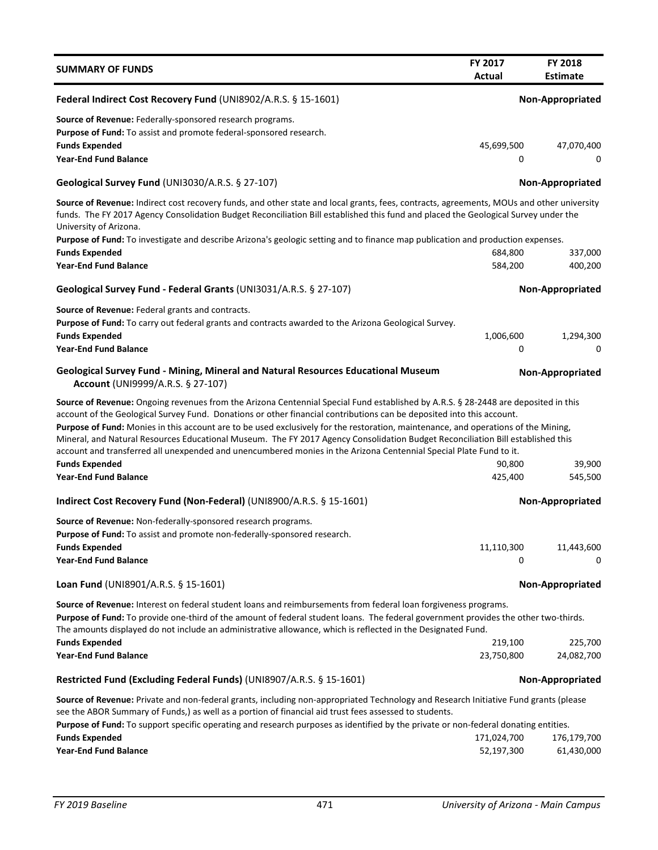| <b>SUMMARY OF FUNDS</b>                                                                                                                                                                                                                                                                                                                                                                                                                                                                                                                                                                                                                                                             | <b>FY 2017</b><br><b>Actual</b> | <b>FY 2018</b><br>Estimate |
|-------------------------------------------------------------------------------------------------------------------------------------------------------------------------------------------------------------------------------------------------------------------------------------------------------------------------------------------------------------------------------------------------------------------------------------------------------------------------------------------------------------------------------------------------------------------------------------------------------------------------------------------------------------------------------------|---------------------------------|----------------------------|
| Federal Indirect Cost Recovery Fund (UNI8902/A.R.S. § 15-1601)                                                                                                                                                                                                                                                                                                                                                                                                                                                                                                                                                                                                                      |                                 | Non-Appropriated           |
| Source of Revenue: Federally-sponsored research programs.<br>Purpose of Fund: To assist and promote federal-sponsored research.<br><b>Funds Expended</b><br><b>Year-End Fund Balance</b>                                                                                                                                                                                                                                                                                                                                                                                                                                                                                            | 45,699,500<br>0                 | 47,070,400<br>0            |
| Geological Survey Fund (UNI3030/A.R.S. § 27-107)                                                                                                                                                                                                                                                                                                                                                                                                                                                                                                                                                                                                                                    |                                 | <b>Non-Appropriated</b>    |
| Source of Revenue: Indirect cost recovery funds, and other state and local grants, fees, contracts, agreements, MOUs and other university<br>funds. The FY 2017 Agency Consolidation Budget Reconciliation Bill established this fund and placed the Geological Survey under the<br>University of Arizona.                                                                                                                                                                                                                                                                                                                                                                          |                                 |                            |
| Purpose of Fund: To investigate and describe Arizona's geologic setting and to finance map publication and production expenses.<br><b>Funds Expended</b>                                                                                                                                                                                                                                                                                                                                                                                                                                                                                                                            | 684,800                         | 337,000                    |
| <b>Year-End Fund Balance</b>                                                                                                                                                                                                                                                                                                                                                                                                                                                                                                                                                                                                                                                        | 584,200                         | 400,200                    |
| Geological Survey Fund - Federal Grants (UNI3031/A.R.S. § 27-107)                                                                                                                                                                                                                                                                                                                                                                                                                                                                                                                                                                                                                   |                                 | Non-Appropriated           |
| Source of Revenue: Federal grants and contracts.<br>Purpose of Fund: To carry out federal grants and contracts awarded to the Arizona Geological Survey.<br><b>Funds Expended</b><br><b>Year-End Fund Balance</b>                                                                                                                                                                                                                                                                                                                                                                                                                                                                   | 1,006,600<br>0                  | 1,294,300<br>0             |
| Geological Survey Fund - Mining, Mineral and Natural Resources Educational Museum<br>Account (UNI9999/A.R.S. § 27-107)                                                                                                                                                                                                                                                                                                                                                                                                                                                                                                                                                              |                                 | Non-Appropriated           |
| Source of Revenue: Ongoing revenues from the Arizona Centennial Special Fund established by A.R.S. § 28-2448 are deposited in this<br>account of the Geological Survey Fund. Donations or other financial contributions can be deposited into this account.<br>Purpose of Fund: Monies in this account are to be used exclusively for the restoration, maintenance, and operations of the Mining,<br>Mineral, and Natural Resources Educational Museum. The FY 2017 Agency Consolidation Budget Reconciliation Bill established this<br>account and transferred all unexpended and unencumbered monies in the Arizona Centennial Special Plate Fund to it.<br><b>Funds Expended</b> | 90,800                          | 39,900                     |
| <b>Year-End Fund Balance</b>                                                                                                                                                                                                                                                                                                                                                                                                                                                                                                                                                                                                                                                        | 425,400                         | 545,500                    |
| Indirect Cost Recovery Fund (Non-Federal) (UNI8900/A.R.S. § 15-1601)                                                                                                                                                                                                                                                                                                                                                                                                                                                                                                                                                                                                                |                                 | Non-Appropriated           |
| Source of Revenue: Non-federally-sponsored research programs.<br>Purpose of Fund: To assist and promote non-federally-sponsored research.<br><b>Funds Expended</b>                                                                                                                                                                                                                                                                                                                                                                                                                                                                                                                  | 11,110,300                      | 11,443,600                 |
| <b>Year-End Fund Balance</b>                                                                                                                                                                                                                                                                                                                                                                                                                                                                                                                                                                                                                                                        | 0                               | 0                          |
| Loan Fund (UNI8901/A.R.S. § 15-1601)                                                                                                                                                                                                                                                                                                                                                                                                                                                                                                                                                                                                                                                |                                 | Non-Appropriated           |
| Source of Revenue: Interest on federal student loans and reimbursements from federal loan forgiveness programs.<br>Purpose of Fund: To provide one-third of the amount of federal student loans. The federal government provides the other two-thirds.<br>The amounts displayed do not include an administrative allowance, which is reflected in the Designated Fund.                                                                                                                                                                                                                                                                                                              |                                 |                            |
| <b>Funds Expended</b>                                                                                                                                                                                                                                                                                                                                                                                                                                                                                                                                                                                                                                                               | 219,100                         | 225,700                    |
| <b>Year-End Fund Balance</b>                                                                                                                                                                                                                                                                                                                                                                                                                                                                                                                                                                                                                                                        | 23,750,800                      | 24,082,700                 |
| Restricted Fund (Excluding Federal Funds) (UNI8907/A.R.S. § 15-1601)                                                                                                                                                                                                                                                                                                                                                                                                                                                                                                                                                                                                                |                                 | Non-Appropriated           |
| Source of Revenue: Private and non-federal grants, including non-appropriated Technology and Research Initiative Fund grants (please<br>see the ABOR Summary of Funds,) as well as a portion of financial aid trust fees assessed to students.<br>Purpose of Fund: To support specific operating and research purposes as identified by the private or non-federal donating entities.                                                                                                                                                                                                                                                                                               |                                 |                            |
| <b>Funds Expended</b>                                                                                                                                                                                                                                                                                                                                                                                                                                                                                                                                                                                                                                                               | 171,024,700                     | 176,179,700                |
| <b>Year-End Fund Balance</b>                                                                                                                                                                                                                                                                                                                                                                                                                                                                                                                                                                                                                                                        | 52,197,300                      | 61,430,000                 |